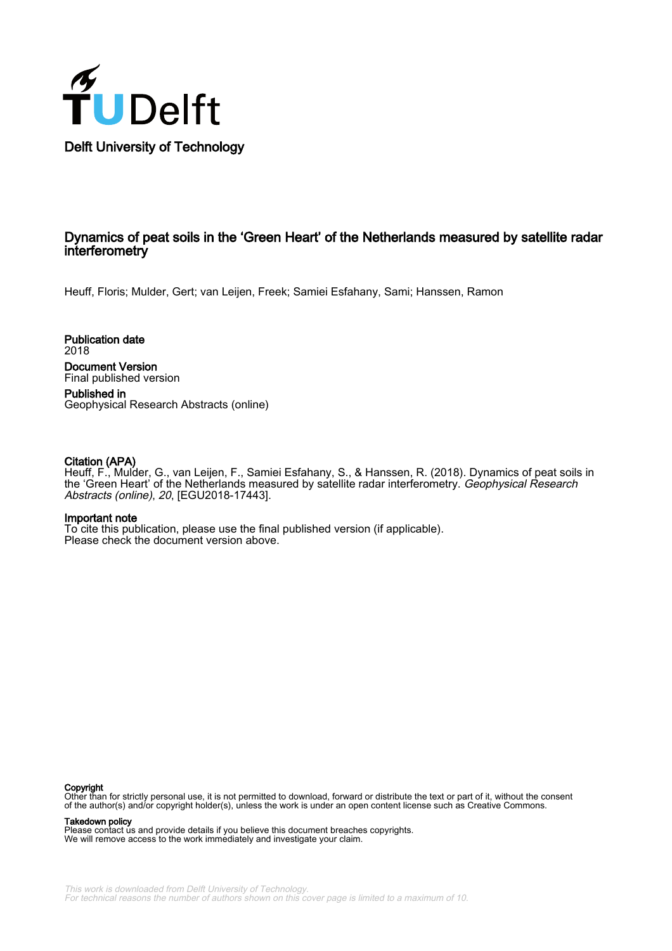

# Dynamics of peat soils in the 'Green Heart' of the Netherlands measured by satellite radar interferometry

Heuff, Floris; Mulder, Gert; van Leijen, Freek; Samiei Esfahany, Sami; Hanssen, Ramon

Publication date 2018 Document Version

Final published version

Published in Geophysical Research Abstracts (online)

## Citation (APA)

Heuff, F., Mulder, G., van Leijen, F., Samiei Esfahany, S., & Hanssen, R. (2018). Dynamics of peat soils in the 'Green Heart' of the Netherlands measured by satellite radar interferometry. *Geophysical Research* Abstracts (online), 20, [EGU2018-17443].

### Important note

To cite this publication, please use the final published version (if applicable). Please check the document version above.

#### Copyright

Other than for strictly personal use, it is not permitted to download, forward or distribute the text or part of it, without the consent of the author(s) and/or copyright holder(s), unless the work is under an open content license such as Creative Commons.

#### Takedown policy

Please contact us and provide details if you believe this document breaches copyrights. We will remove access to the work immediately and investigate your claim.